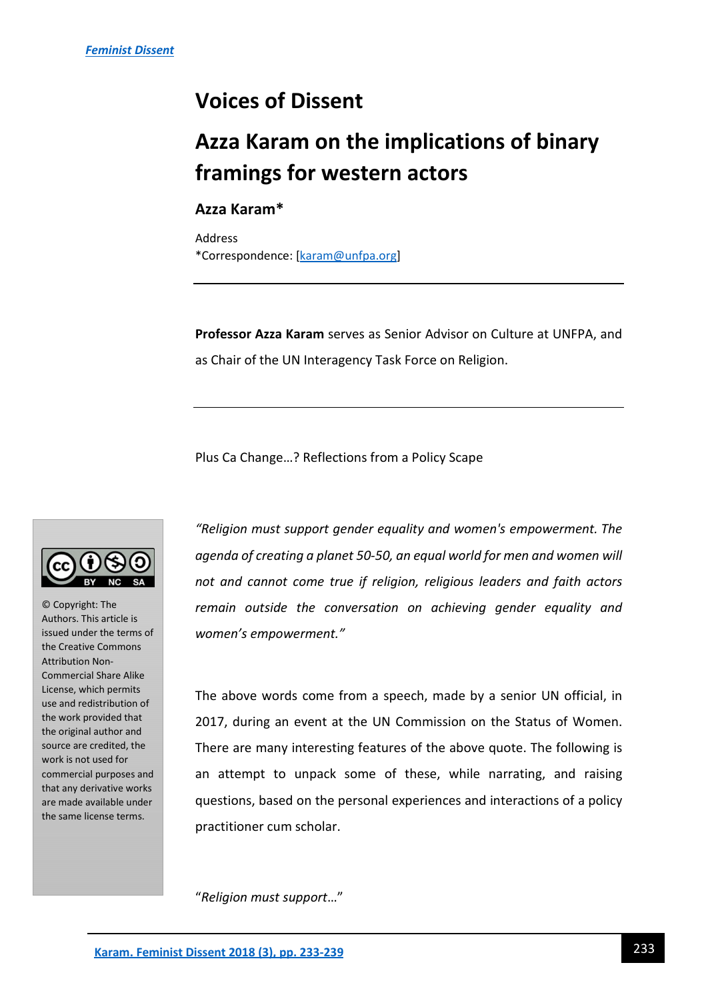## **Voices of Dissent**

## **Azza Karam on the implications of binary framings for western actors**

## **Azza Karam\***

Address \*Correspondence: [karam@unfpa.org]

**Professor Azza Karam** serves as Senior Advisor on Culture at UNFPA, and as Chair of the UN Interagency Task Force on Religion.

Plus Ca Change…? Reflections from a Policy Scape



© Copyright: The Authors. This article is issued under the terms of the Creative Commons Attribution Non-Commercial Share Alike License, which permits use and redistribution of the work provided that the original author and source are credited, the work is not used for commercial purposes and that any derivative works are made available under the same license terms.

*"Religion must support gender equality and women's empowerment. The agenda of creating a planet 50-50, an equal world for men and women will not and cannot come true if religion, religious leaders and faith actors remain outside the conversation on achieving gender equality and women's empowerment."* 

The above words come from a speech, made by a senior UN official, in 2017, during an event at the UN Commission on the Status of Women. There are many interesting features of the above quote. The following is an attempt to unpack some of these, while narrating, and raising questions, based on the personal experiences and interactions of a policy practitioner cum scholar.

"*Religion must support*…"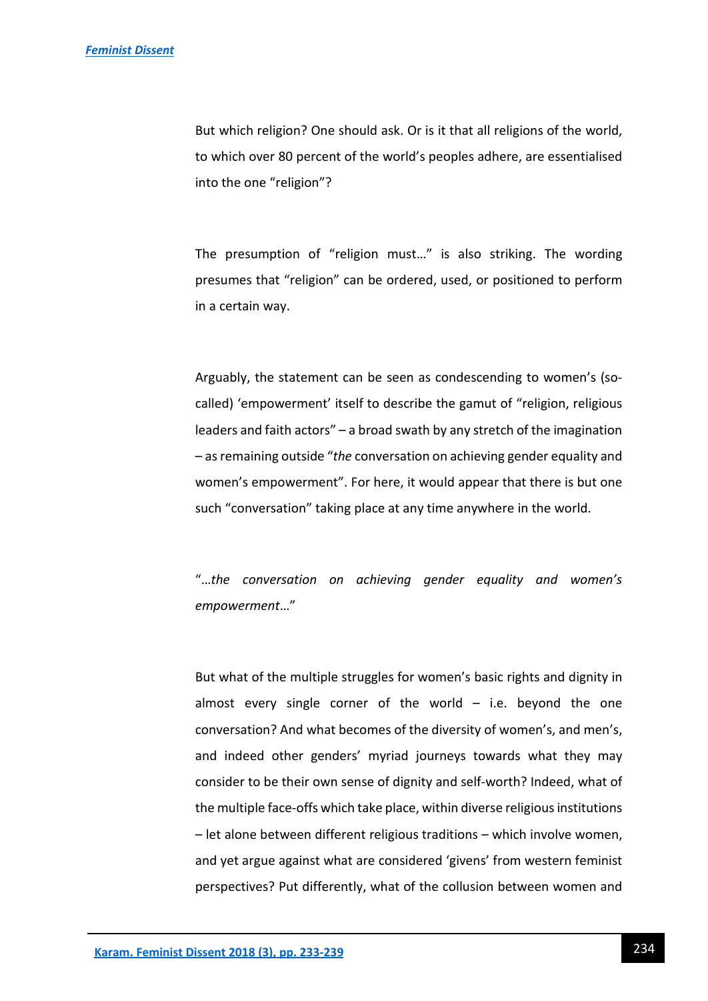But which religion? One should ask. Or is it that all religions of the world, to which over 80 percent of the world's peoples adhere, are essentialised into the one "religion"?

The presumption of "religion must…" is also striking. The wording presumes that "religion" can be ordered, used, or positioned to perform in a certain way.

Arguably, the statement can be seen as condescending to women's (socalled) 'empowerment' itself to describe the gamut of "religion, religious leaders and faith actors" – a broad swath by any stretch of the imagination – as remaining outside "*the* conversation on achieving gender equality and women's empowerment". For here, it would appear that there is but one such "conversation" taking place at any time anywhere in the world.

"…*the conversation on achieving gender equality and women's empowerment*…"

But what of the multiple struggles for women's basic rights and dignity in almost every single corner of the world  $-$  i.e. beyond the one conversation? And what becomes of the diversity of women's, and men's, and indeed other genders' myriad journeys towards what they may consider to be their own sense of dignity and self-worth? Indeed, what of the multiple face-offs which take place, within diverse religious institutions – let alone between different religious traditions – which involve women, and yet argue against what are considered 'givens' from western feminist perspectives? Put differently, what of the collusion between women and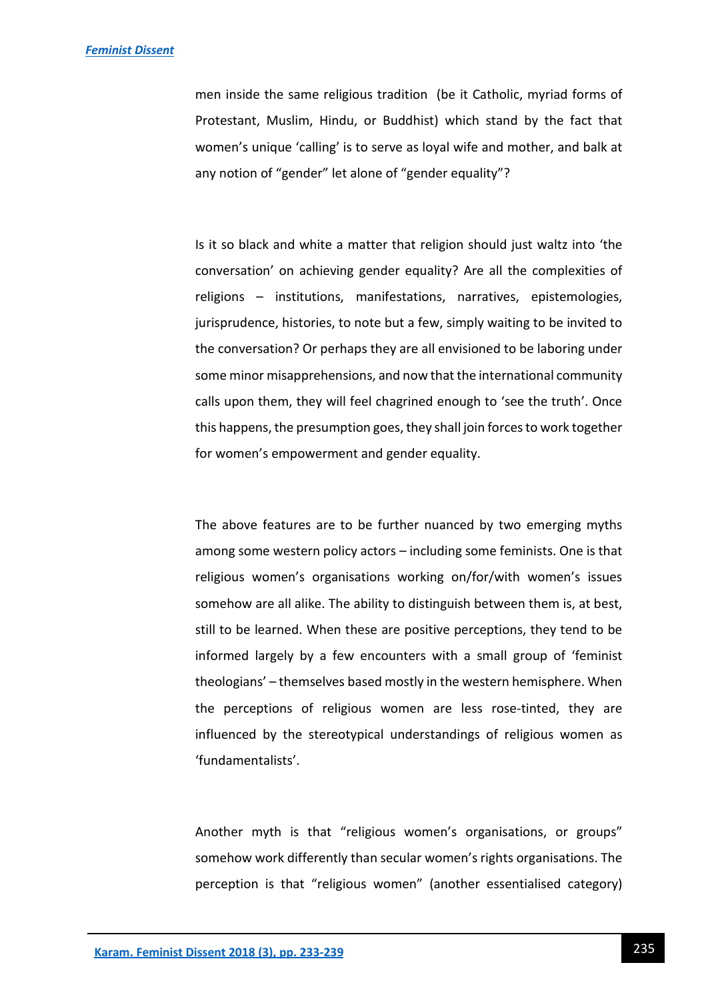men inside the same religious tradition (be it Catholic, myriad forms of Protestant, Muslim, Hindu, or Buddhist) which stand by the fact that women's unique 'calling' is to serve as loyal wife and mother, and balk at any notion of "gender" let alone of "gender equality"?

Is it so black and white a matter that religion should just waltz into 'the conversation' on achieving gender equality? Are all the complexities of religions – institutions, manifestations, narratives, epistemologies, jurisprudence, histories, to note but a few, simply waiting to be invited to the conversation? Or perhaps they are all envisioned to be laboring under some minor misapprehensions, and now that the international community calls upon them, they will feel chagrined enough to 'see the truth'. Once this happens, the presumption goes, they shall join forces to work together for women's empowerment and gender equality.

The above features are to be further nuanced by two emerging myths among some western policy actors – including some feminists. One is that religious women's organisations working on/for/with women's issues somehow are all alike. The ability to distinguish between them is, at best, still to be learned. When these are positive perceptions, they tend to be informed largely by a few encounters with a small group of 'feminist theologians' – themselves based mostly in the western hemisphere. When the perceptions of religious women are less rose-tinted, they are influenced by the stereotypical understandings of religious women as 'fundamentalists'.

Another myth is that "religious women's organisations, or groups" somehow work differently than secular women's rights organisations. The perception is that "religious women" (another essentialised category)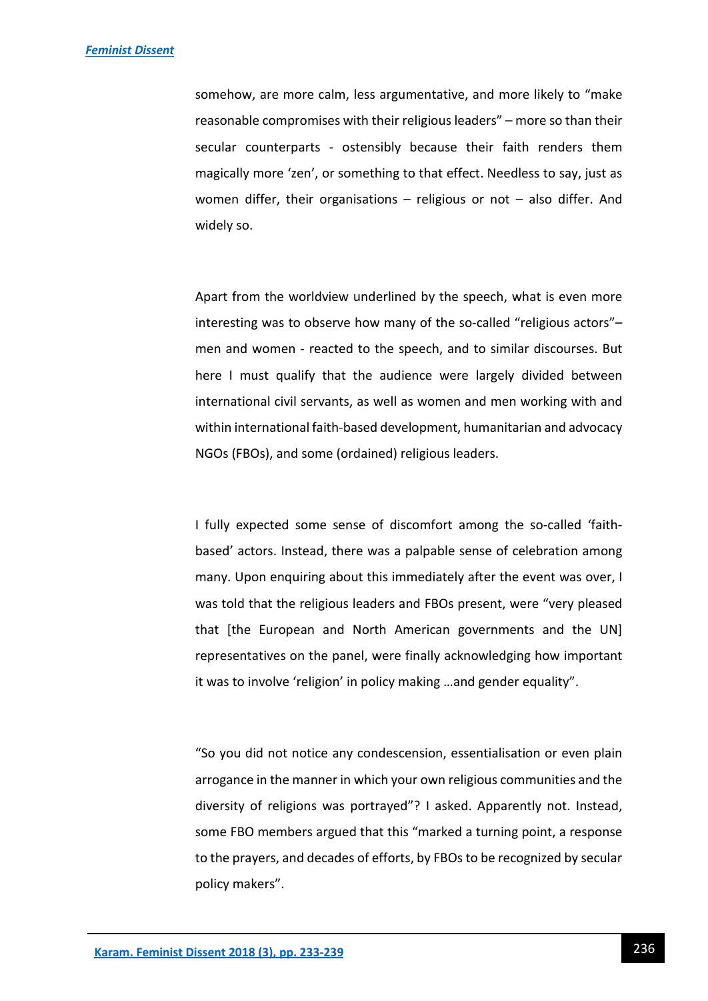somehow, are more calm, less argumentative, and more likely to "make reasonable compromises with their religious leaders" – more so than their secular counterparts - ostensibly because their faith renders them magically more 'zen', or something to that effect. Needless to say, just as women differ, their organisations – religious or not – also differ. And widely so.

Apart from the worldview underlined by the speech, what is even more interesting was to observe how many of the so-called "religious actors"– men and women - reacted to the speech, and to similar discourses. But here I must qualify that the audience were largely divided between international civil servants, as well as women and men working with and within international faith-based development, humanitarian and advocacy NGOs (FBOs), and some (ordained) religious leaders.

I fully expected some sense of discomfort among the so-called 'faithbased' actors. Instead, there was a palpable sense of celebration among many. Upon enquiring about this immediately after the event was over, I was told that the religious leaders and FBOs present, were "very pleased that [the European and North American governments and the UN] representatives on the panel, were finally acknowledging how important it was to involve 'religion' in policy making …and gender equality".

"So you did not notice any condescension, essentialisation or even plain arrogance in the manner in which your own religious communities and the diversity of religions was portrayed"? I asked. Apparently not. Instead, some FBO members argued that this "marked a turning point, a response to the prayers, and decades of efforts, by FBOs to be recognized by secular policy makers".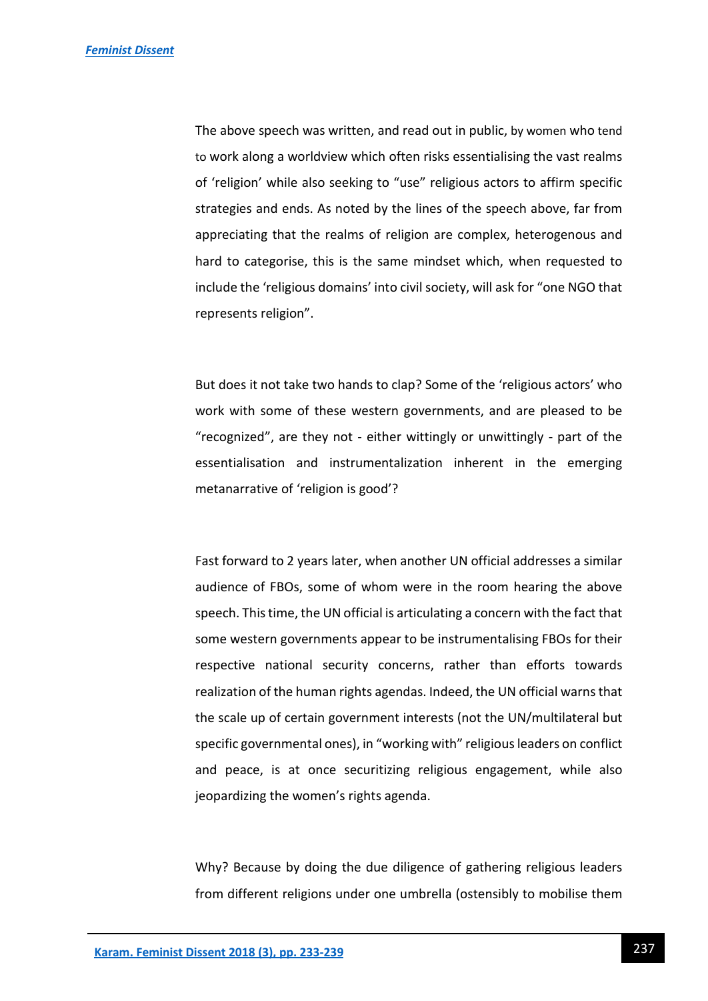The above speech was written, and read out in public, by women who tend to work along a worldview which often risks essentialising the vast realms of 'religion' while also seeking to "use" religious actors to affirm specific strategies and ends. As noted by the lines of the speech above, far from appreciating that the realms of religion are complex, heterogenous and hard to categorise, this is the same mindset which, when requested to include the 'religious domains' into civil society, will ask for "one NGO that represents religion".

But does it not take two hands to clap? Some of the 'religious actors' who work with some of these western governments, and are pleased to be "recognized", are they not - either wittingly or unwittingly - part of the essentialisation and instrumentalization inherent in the emerging metanarrative of 'religion is good'?

Fast forward to 2 years later, when another UN official addresses a similar audience of FBOs, some of whom were in the room hearing the above speech. This time, the UN official is articulating a concern with the fact that some western governments appear to be instrumentalising FBOs for their respective national security concerns, rather than efforts towards realization of the human rights agendas. Indeed, the UN official warns that the scale up of certain government interests (not the UN/multilateral but specific governmental ones), in "working with" religious leaders on conflict and peace, is at once securitizing religious engagement, while also jeopardizing the women's rights agenda.

Why? Because by doing the due diligence of gathering religious leaders from different religions under one umbrella (ostensibly to mobilise them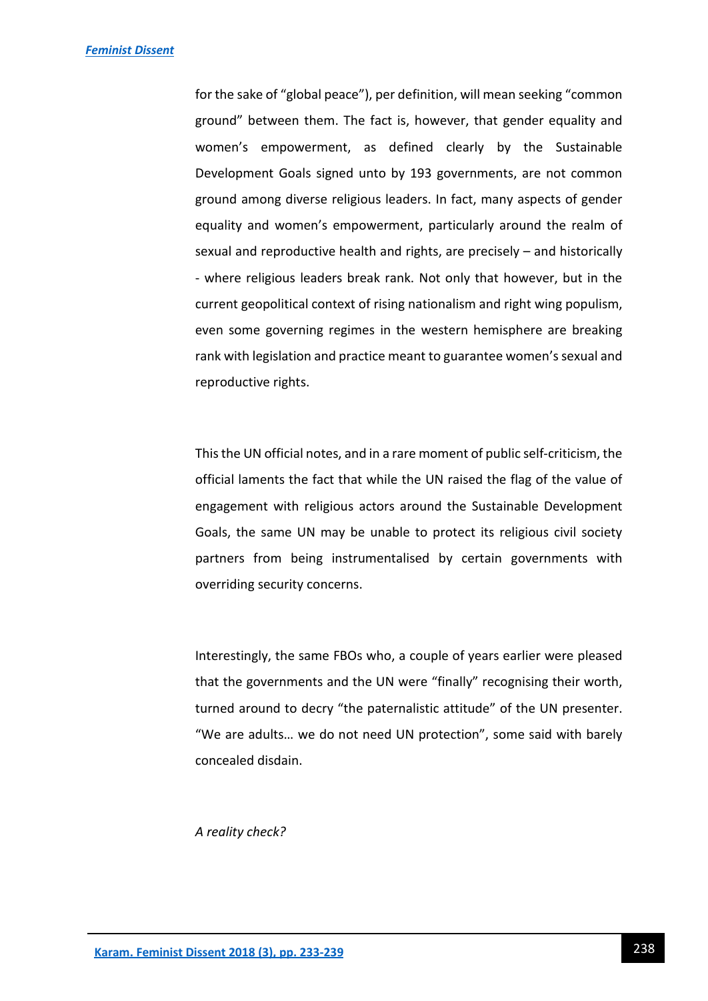for the sake of "global peace"), per definition, will mean seeking "common ground" between them. The fact is, however, that gender equality and women's empowerment, as defined clearly by the Sustainable Development Goals signed unto by 193 governments, are not common ground among diverse religious leaders. In fact, many aspects of gender equality and women's empowerment, particularly around the realm of sexual and reproductive health and rights, are precisely – and historically - where religious leaders break rank. Not only that however, but in the current geopolitical context of rising nationalism and right wing populism, even some governing regimes in the western hemisphere are breaking rank with legislation and practice meant to guarantee women's sexual and reproductive rights.

This the UN official notes, and in a rare moment of public self-criticism, the official laments the fact that while the UN raised the flag of the value of engagement with religious actors around the Sustainable Development Goals, the same UN may be unable to protect its religious civil society partners from being instrumentalised by certain governments with overriding security concerns.

Interestingly, the same FBOs who, a couple of years earlier were pleased that the governments and the UN were "finally" recognising their worth, turned around to decry "the paternalistic attitude" of the UN presenter. "We are adults… we do not need UN protection", some said with barely concealed disdain.

*A reality check?*